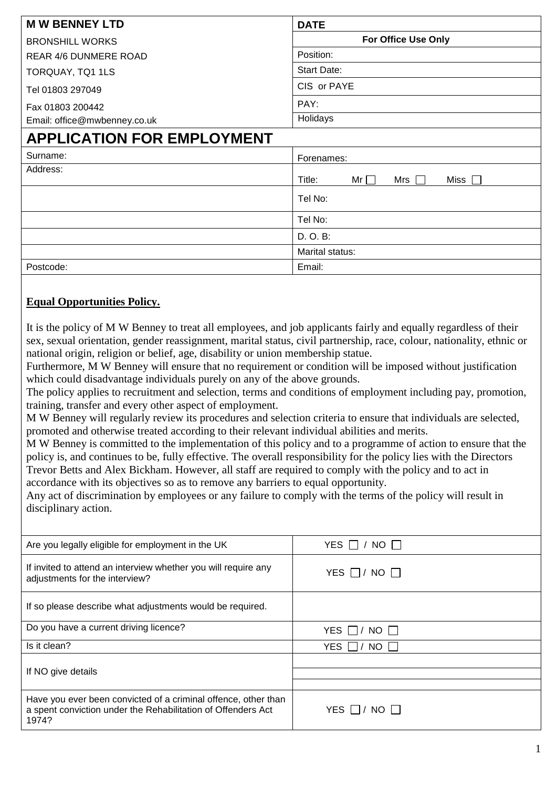| <b>MW BENNEY LTD</b>              | <b>DATE</b>                            |
|-----------------------------------|----------------------------------------|
| <b>BRONSHILL WORKS</b>            | <b>For Office Use Only</b>             |
| <b>REAR 4/6 DUNMERE ROAD</b>      | Position:                              |
| TORQUAY, TQ1 1LS                  | <b>Start Date:</b>                     |
| Tel 01803 297049                  | CIS or PAYE                            |
| Fax 01803 200442                  | PAY:                                   |
| Email: office@mwbenney.co.uk      | Holidays                               |
| <b>APPLICATION FOR EMPLOYMENT</b> |                                        |
| Surname:                          | Forenames:                             |
| Address:                          | $Mr \Box$<br>Miss  <br>Title:<br>Mrs I |
|                                   | Tel No:                                |
|                                   | Tel No:                                |
|                                   | D. O. B:                               |
|                                   | Marital status:                        |
| Postcode:                         | Email:                                 |

## **Equal Opportunities Policy.**

It is the policy of M W Benney to treat all employees, and job applicants fairly and equally regardless of their sex, sexual orientation, gender reassignment, marital status, civil partnership, race, colour, nationality, ethnic or national origin, religion or belief, age, disability or union membership statue.

Furthermore, M W Benney will ensure that no requirement or condition will be imposed without justification which could disadvantage individuals purely on any of the above grounds.

The policy applies to recruitment and selection, terms and conditions of employment including pay, promotion, training, transfer and every other aspect of employment.

M W Benney will regularly review its procedures and selection criteria to ensure that individuals are selected, promoted and otherwise treated according to their relevant individual abilities and merits.

M W Benney is committed to the implementation of this policy and to a programme of action to ensure that the policy is, and continues to be, fully effective. The overall responsibility for the policy lies with the Directors Trevor Betts and Alex Bickham. However, all staff are required to comply with the policy and to act in accordance with its objectives so as to remove any barriers to equal opportunity.

Any act of discrimination by employees or any failure to comply with the terms of the policy will result in disciplinary action.

| Are you legally eligible for employment in the UK                                                                                       | $\top$ NO $\Box$<br>YES |
|-----------------------------------------------------------------------------------------------------------------------------------------|-------------------------|
| If invited to attend an interview whether you will require any<br>adjustments for the interview?                                        | YES $\Box$ / NO $\Box$  |
| If so please describe what adjustments would be required.                                                                               |                         |
| Do you have a current driving licence?                                                                                                  | YES $\Box$ / NO $\Box$  |
| Is it clean?                                                                                                                            | YES $\Box$ / NO $\Box$  |
| If NO give details                                                                                                                      |                         |
|                                                                                                                                         |                         |
| Have you ever been convicted of a criminal offence, other than<br>a spent conviction under the Rehabilitation of Offenders Act<br>1974? | YES $\Box$ / NO $\Box$  |
|                                                                                                                                         |                         |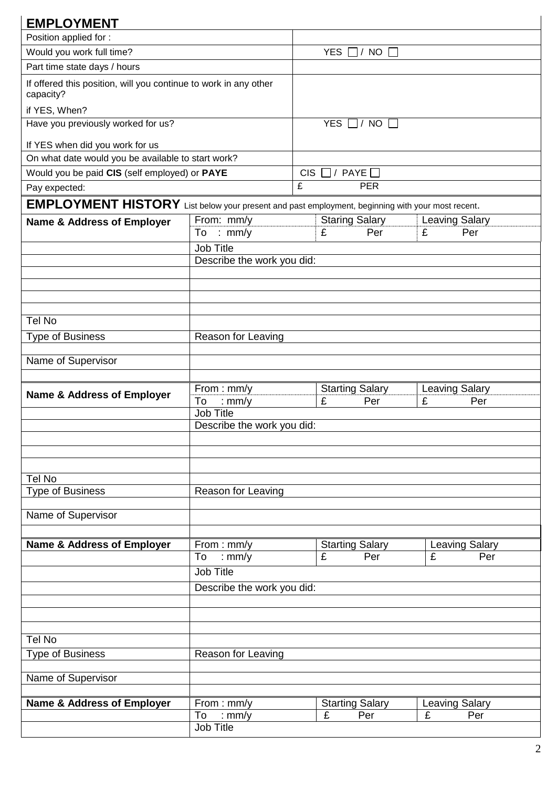| <b>EMPLOYMENT</b>                                                                                |                                                |                        |                                    |                                   |  |
|--------------------------------------------------------------------------------------------------|------------------------------------------------|------------------------|------------------------------------|-----------------------------------|--|
| Position applied for :                                                                           |                                                |                        |                                    |                                   |  |
| Would you work full time?                                                                        |                                                | YES $\Box$ / NO $\Box$ |                                    |                                   |  |
| Part time state days / hours                                                                     |                                                |                        |                                    |                                   |  |
| If offered this position, will you continue to work in any other<br>capacity?                    |                                                |                        |                                    |                                   |  |
| if YES, When?                                                                                    |                                                |                        |                                    |                                   |  |
| Have you previously worked for us?                                                               |                                                |                        | YES $\Box$ / NO $\Box$             |                                   |  |
| If YES when did you work for us                                                                  |                                                |                        |                                    |                                   |  |
| On what date would you be available to start work?                                               |                                                |                        |                                    |                                   |  |
| Would you be paid CIS (self employed) or PAYE                                                    |                                                | CIS [                  | $\Box$ / PAYE $\Box$               |                                   |  |
| Pay expected:                                                                                    |                                                | £                      | <b>PER</b>                         |                                   |  |
| EMPLOYMENT HISTORY List below your present and past employment, beginning with your most recent. |                                                |                        |                                    |                                   |  |
| <b>Name &amp; Address of Employer</b>                                                            | From: mm/y                                     |                        | <b>Staring Salary</b>              | <b>Leaving Salary</b>             |  |
|                                                                                                  | To : mm/y                                      |                        | £<br>Per                           | Per<br>£                          |  |
|                                                                                                  | <b>Job Title</b><br>Describe the work you did: |                        |                                    |                                   |  |
|                                                                                                  |                                                |                        |                                    |                                   |  |
|                                                                                                  |                                                |                        |                                    |                                   |  |
|                                                                                                  |                                                |                        |                                    |                                   |  |
| Tel No                                                                                           |                                                |                        |                                    |                                   |  |
| <b>Type of Business</b>                                                                          | Reason for Leaving                             |                        |                                    |                                   |  |
|                                                                                                  |                                                |                        |                                    |                                   |  |
| Name of Supervisor                                                                               |                                                |                        |                                    |                                   |  |
| <b>Name &amp; Address of Employer</b>                                                            | From: mm/y                                     |                        | <b>Starting Salary</b>             | <b>Leaving Salary</b>             |  |
|                                                                                                  | To<br>: mm/y<br><b>Job Title</b>               |                        | £<br>Per                           | Per<br>£                          |  |
|                                                                                                  | Describe the work you did:                     |                        |                                    |                                   |  |
|                                                                                                  |                                                |                        |                                    |                                   |  |
|                                                                                                  |                                                |                        |                                    |                                   |  |
| Tel No                                                                                           |                                                |                        |                                    |                                   |  |
| <b>Type of Business</b>                                                                          | Reason for Leaving                             |                        |                                    |                                   |  |
|                                                                                                  |                                                |                        |                                    |                                   |  |
| Name of Supervisor                                                                               |                                                |                        |                                    |                                   |  |
|                                                                                                  |                                                |                        |                                    |                                   |  |
| <b>Name &amp; Address of Employer</b>                                                            | From: mm/y<br>To<br>: $mm/y$                   |                        | <b>Starting Salary</b><br>£<br>Per | <b>Leaving Salary</b><br>£<br>Per |  |
|                                                                                                  | <b>Job Title</b>                               |                        |                                    |                                   |  |
|                                                                                                  | Describe the work you did:                     |                        |                                    |                                   |  |
|                                                                                                  |                                                |                        |                                    |                                   |  |
|                                                                                                  |                                                |                        |                                    |                                   |  |
| Tel No                                                                                           |                                                |                        |                                    |                                   |  |
| <b>Type of Business</b>                                                                          | Reason for Leaving                             |                        |                                    |                                   |  |
|                                                                                                  |                                                |                        |                                    |                                   |  |
| Name of Supervisor                                                                               |                                                |                        |                                    |                                   |  |
| <b>Name &amp; Address of Employer</b>                                                            | From: mm/y                                     |                        | <b>Starting Salary</b>             | <b>Leaving Salary</b>             |  |
|                                                                                                  | To<br>: mm/y<br><b>Job Title</b>               |                        | £<br>Per                           | £<br>Per                          |  |
|                                                                                                  |                                                |                        |                                    |                                   |  |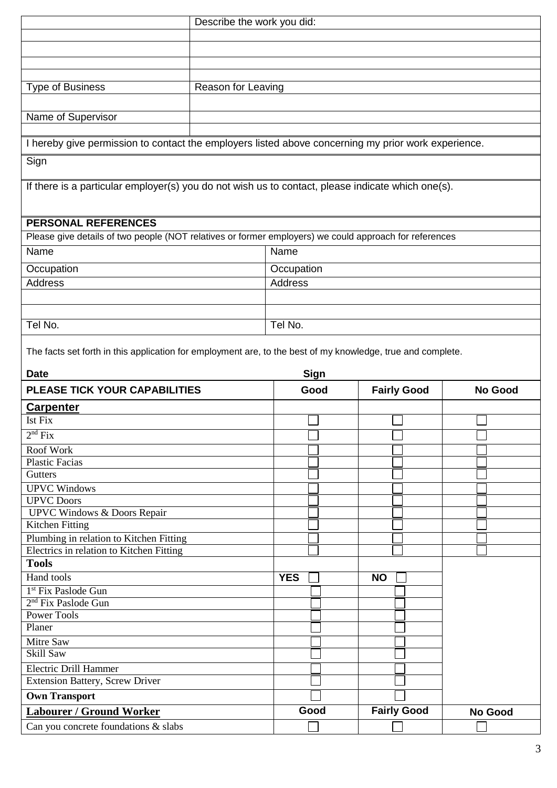| Describe the work you did:                                                                                  |                    |                     |                    |                |  |
|-------------------------------------------------------------------------------------------------------------|--------------------|---------------------|--------------------|----------------|--|
|                                                                                                             |                    |                     |                    |                |  |
|                                                                                                             |                    |                     |                    |                |  |
|                                                                                                             |                    |                     |                    |                |  |
| <b>Type of Business</b>                                                                                     | Reason for Leaving |                     |                    |                |  |
|                                                                                                             |                    |                     |                    |                |  |
| Name of Supervisor                                                                                          |                    |                     |                    |                |  |
|                                                                                                             |                    |                     |                    |                |  |
| I hereby give permission to contact the employers listed above concerning my prior work experience.         |                    |                     |                    |                |  |
| Sign                                                                                                        |                    |                     |                    |                |  |
|                                                                                                             |                    |                     |                    |                |  |
| If there is a particular employer(s) you do not wish us to contact, please indicate which one(s).           |                    |                     |                    |                |  |
|                                                                                                             |                    |                     |                    |                |  |
| <b>PERSONAL REFERENCES</b>                                                                                  |                    |                     |                    |                |  |
| Please give details of two people (NOT relatives or former employers) we could approach for references      |                    |                     |                    |                |  |
| Name                                                                                                        |                    | Name                |                    |                |  |
| Occupation                                                                                                  |                    | Occupation          |                    |                |  |
| <b>Address</b>                                                                                              |                    | Address             |                    |                |  |
|                                                                                                             |                    |                     |                    |                |  |
|                                                                                                             |                    |                     |                    |                |  |
| Tel No.                                                                                                     |                    | Tel No.             |                    |                |  |
|                                                                                                             |                    |                     |                    |                |  |
| The facts set forth in this application for employment are, to the best of my knowledge, true and complete. |                    |                     |                    |                |  |
|                                                                                                             |                    |                     |                    |                |  |
| <b>Date</b>                                                                                                 |                    |                     |                    |                |  |
| PLEASE TICK YOUR CAPABILITIES                                                                               |                    | <b>Sign</b><br>Good |                    | <b>No Good</b> |  |
|                                                                                                             |                    |                     | <b>Fairly Good</b> |                |  |
| <b>Carpenter</b><br>Ist Fix                                                                                 |                    |                     |                    |                |  |
|                                                                                                             |                    | $\Box$              |                    |                |  |
| 2 <sup>nd</sup> Fix<br>Roof Work                                                                            |                    |                     |                    |                |  |
| <b>Plastic Facias</b>                                                                                       |                    |                     |                    |                |  |
| Gutters                                                                                                     |                    |                     |                    |                |  |
| <b>UPVC</b> Windows                                                                                         |                    |                     |                    |                |  |
| <b>UPVC</b> Doors                                                                                           |                    |                     |                    |                |  |
| <b>UPVC Windows &amp; Doors Repair</b>                                                                      |                    |                     |                    |                |  |
| <b>Kitchen Fitting</b>                                                                                      |                    |                     |                    |                |  |
| Plumbing in relation to Kitchen Fitting<br>Electrics in relation to Kitchen Fitting                         |                    |                     |                    |                |  |
| <b>Tools</b>                                                                                                |                    |                     |                    |                |  |
| Hand tools                                                                                                  |                    | <b>YES</b>          | <b>NO</b>          |                |  |
| 1 <sup>st</sup> Fix Paslode Gun                                                                             |                    |                     |                    |                |  |
| 2 <sup>nd</sup> Fix Paslode Gun                                                                             |                    |                     |                    |                |  |
| Power Tools                                                                                                 |                    |                     |                    |                |  |
| Planer                                                                                                      |                    |                     |                    |                |  |
| Mitre Saw                                                                                                   |                    |                     |                    |                |  |
| Skill Saw                                                                                                   |                    |                     |                    |                |  |
| <b>Electric Drill Hammer</b><br><b>Extension Battery, Screw Driver</b>                                      |                    |                     |                    |                |  |
|                                                                                                             |                    |                     |                    |                |  |
| <b>Own Transport</b><br><b>Labourer / Ground Worker</b>                                                     |                    | Good                | <b>Fairly Good</b> | No Good        |  |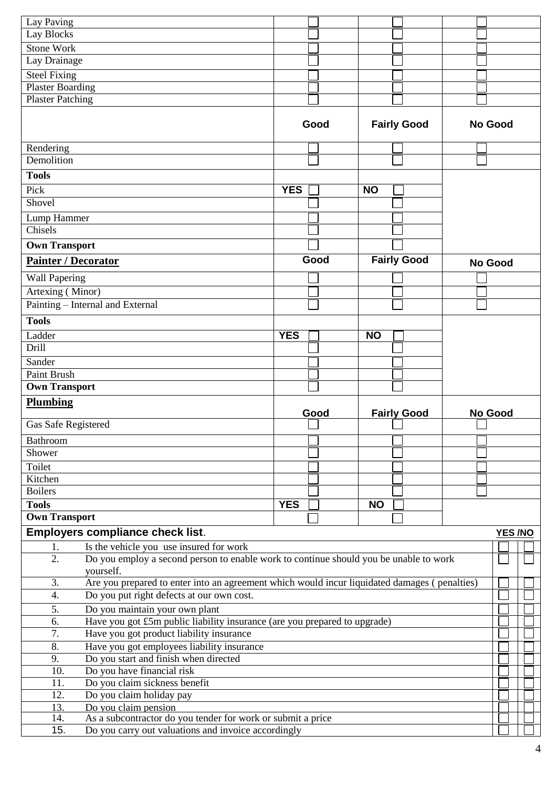| Lay Paving                                                                                                                             |            |                    |                |
|----------------------------------------------------------------------------------------------------------------------------------------|------------|--------------------|----------------|
| Lay Blocks                                                                                                                             |            |                    |                |
| <b>Stone Work</b>                                                                                                                      |            |                    |                |
| Lay Drainage                                                                                                                           |            |                    |                |
| <b>Steel Fixing</b>                                                                                                                    |            |                    |                |
| <b>Plaster Boarding</b>                                                                                                                |            |                    |                |
| <b>Plaster Patching</b>                                                                                                                |            |                    |                |
|                                                                                                                                        |            |                    |                |
|                                                                                                                                        | Good       | <b>Fairly Good</b> | <b>No Good</b> |
|                                                                                                                                        |            |                    |                |
| Rendering                                                                                                                              |            |                    |                |
| Demolition                                                                                                                             |            |                    |                |
| <b>Tools</b>                                                                                                                           |            |                    |                |
| Pick                                                                                                                                   | <b>YES</b> | <b>NO</b>          |                |
| Shovel                                                                                                                                 |            |                    |                |
| Lump Hammer                                                                                                                            |            |                    |                |
| Chisels                                                                                                                                |            |                    |                |
|                                                                                                                                        |            |                    |                |
| <b>Own Transport</b>                                                                                                                   |            |                    |                |
| <b>Painter / Decorator</b>                                                                                                             | Good       | <b>Fairly Good</b> | <b>No Good</b> |
| <b>Wall Papering</b>                                                                                                                   |            |                    |                |
| Artexing (Minor)                                                                                                                       |            |                    |                |
| Painting – Internal and External                                                                                                       |            |                    |                |
| <b>Tools</b>                                                                                                                           |            |                    |                |
| Ladder                                                                                                                                 | <b>YES</b> | <b>NO</b>          |                |
| Drill                                                                                                                                  |            |                    |                |
| Sander                                                                                                                                 |            |                    |                |
|                                                                                                                                        |            |                    |                |
|                                                                                                                                        |            |                    |                |
| <b>Paint Brush</b>                                                                                                                     |            |                    |                |
| <b>Own Transport</b>                                                                                                                   |            |                    |                |
| <b>Plumbing</b>                                                                                                                        |            |                    |                |
|                                                                                                                                        | Good       | <b>Fairly Good</b> | <b>No Good</b> |
| Gas Safe Registered                                                                                                                    |            |                    |                |
| Bathroom                                                                                                                               |            |                    |                |
| Shower                                                                                                                                 |            |                    |                |
| Toilet                                                                                                                                 |            |                    |                |
| Kitchen                                                                                                                                |            |                    |                |
| <b>Boilers</b>                                                                                                                         |            |                    |                |
| <b>Tools</b>                                                                                                                           | <b>YES</b> | <b>NO</b>          |                |
| <b>Own Transport</b>                                                                                                                   |            |                    |                |
| <b>Employers compliance check list.</b>                                                                                                |            |                    | YES /NO        |
| 1.                                                                                                                                     |            |                    |                |
| Is the vehicle you use insured for work<br>2.<br>Do you employ a second person to enable work to continue should you be unable to work |            |                    |                |
| yourself.                                                                                                                              |            |                    |                |
| 3.<br>Are you prepared to enter into an agreement which would incur liquidated damages (penalties)                                     |            |                    |                |
| Do you put right defects at our own cost.<br>4.                                                                                        |            |                    |                |
| 5.                                                                                                                                     |            |                    |                |
| Do you maintain your own plant<br>Have you got £5m public liability insurance (are you prepared to upgrade)<br>6.                      |            |                    |                |
| Have you got product liability insurance<br>7.                                                                                         |            |                    |                |
| Have you got employees liability insurance<br>8.                                                                                       |            |                    |                |
| Do you start and finish when directed<br>9.                                                                                            |            |                    |                |
| Do you have financial risk<br>10.                                                                                                      |            |                    |                |
| Do you claim sickness benefit<br>11.                                                                                                   |            |                    |                |
| Do you claim holiday pay<br>12.                                                                                                        |            |                    |                |
| Do you claim pension<br>13.                                                                                                            |            |                    |                |
| As a subcontractor do you tender for work or submit a price<br>14.<br>Do you carry out valuations and invoice accordingly<br>15.       |            |                    |                |